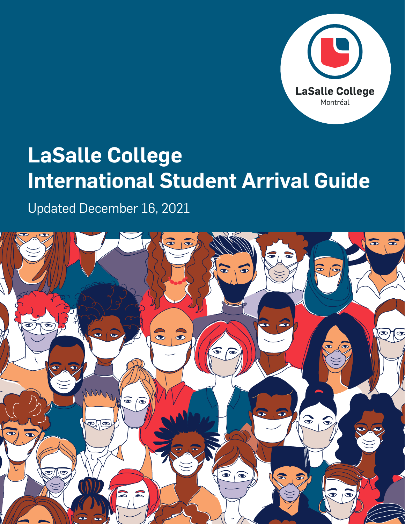

## **LaSalle College International Student Arrival Guide**

Updated December 16, 2021

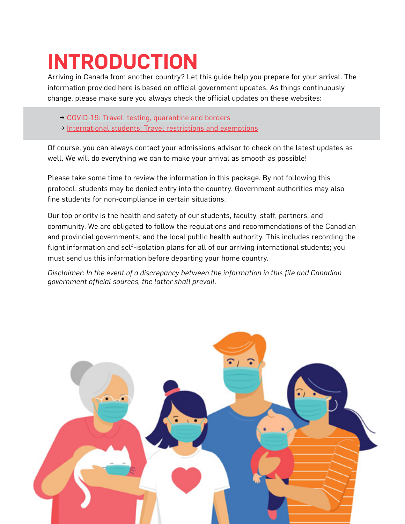# **INTRODUCTION**

Arriving in Canada from another country? Let this guide help you prepare for your arrival. The information provided here is based on official government updates. As things continuously change, please make sure you always check the official updates on these websites:

- → [COVID-19: Travel, testing, quarantine and borders](https://travel.gc.ca/travel-covid)
- → [International students: Travel restrictions and exemptions](https://travel.gc.ca/travel-covid/travel-restrictions/visitors-workers-students)

Of course, you can always contact your admissions advisor to check on the latest updates as well. We will do everything we can to make your arrival as smooth as possible!

Please take some time to review the information in this package. By not following this protocol, students may be denied entry into the country. Government authorities may also fine students for non-compliance in certain situations.

Our top priority is the health and safety of our students, faculty, staff, partners, and community. We are obligated to follow the regulations and recommendations of the Canadian and provincial governments, and the local public health authority. This includes recording the flight information and self-isolation plans for all of our arriving international students; you must send us this information before departing your home country.

*Disclaimer: In the event of a discrepancy between the information in this file and Canadian government official sources, the latter shall prevail.*

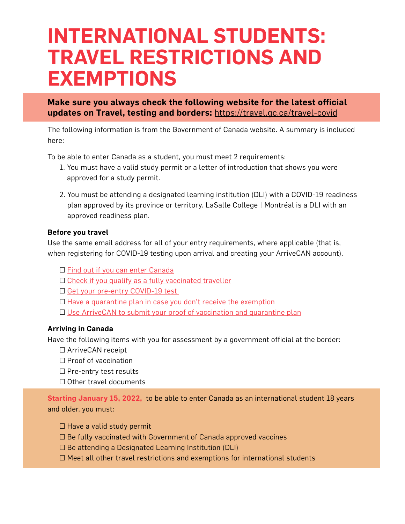### **INTERNATIONAL STUDENTS: TRAVEL RESTRICTIONS AND EXEMPTIONS**

**Make sure you always check the following website for the latest official updates on Travel, testing and borders:** <https://travel.gc.ca/travel-covid>

The following information is from the Government of Canada website. A summary is included here:

To be able to enter Canada as a student, you must meet 2 requirements:

- 1. You must have a valid study permit or a letter of introduction that shows you were approved for a study permit.
- 2. You must be attending a designated learning institution (DLI) with a COVID-19 readiness plan approved by its province or territory. LaSalle College | Montréal is a DLI with an approved readiness plan.

#### **Before you travel**

Use the same email address for all of your entry requirements, where applicable (that is, when registering for COVID-19 testing upon arrival and creating your ArriveCAN account).

- □ [Find out if you can enter Canada](https://travel.gc.ca/travel-covid/travel-restrictions/wizard-start)
- $\Box$  [Check if you qualify as a fully vaccinated traveller](https://travel.gc.ca/travel-covid/travel-restrictions/covid-vaccinated-travellers-entering-canada#determine-fully)
- □ [Get your pre-entry COVID-19 test](https://travel.gc.ca/travel-covid/travel-restrictions/flying-canada-checklist/covid-19-testing-travellers-coming-into-canada#getting-tested)
- □ [Have a quarantine plan in case you don't receive the exemption](https://travel.gc.ca/travel-covid/travel-restrictions/covid-vaccinated-travellers-entering-canada#proof)
- □ [Use ArriveCAN to submit your proof of vaccination](https://travel.gc.ca/travel-covid/travel-restrictions/covid-vaccinated-travellers-entering-canada#proof) and quarantine plan

#### **Arriving in Canada**

Have the following items with you for assessment by a government official at the border:

- □ ArriveCAN receipt
- □ Proof of vaccination
- □ Pre-entry test results
- □ Other travel documents

**Starting January 15, 2022,** to be able to enter Canada as an international student 18 years and older, you must:

- □ Have a valid study permit
- $\Box$  Be fully vaccinated with Government of Canada approved vaccines
- □ Be attending a Designated Learning Institution (DLI)
- □ Meet all other travel restrictions and exemptions for international students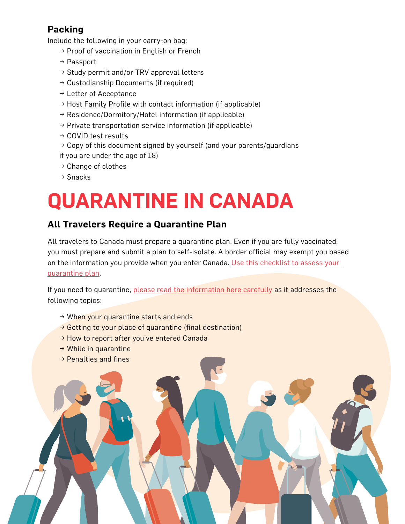### **Packing**

Include the following in your carry-on bag:

- $\rightarrow$  Proof of vaccination in English or French
- → Passport
- $\rightarrow$  Study permit and/or TRV approval letters
- $\rightarrow$  Custodianship Documents (if required)
- → Letter of Acceptance
- $\rightarrow$  Host Family Profile with contact information (if applicable)
- $\rightarrow$  Residence/Dormitory/Hotel information (if applicable)
- $\rightarrow$  Private transportation service information (if applicable)
- → COVID test results
- $\rightarrow$  Copy of this document signed by yourself (and your parents/guardians if you are under the age of 18)
- $\rightarrow$  Change of clothes
- → Snacks

# **QUARANTINE IN CANADA**

### **All Travelers Require a Quarantine Plan**

All travelers to Canada must prepare a quarantine plan. Even if you are fully vaccinated, you must prepare and submit a plan to self-isolate. A border official may exempt you based on the information you provide when you enter Canada. [Use this checklist to assess your](https://travel.gc.ca/travel-covid/travel-restrictions/isolation/quarantine-start)  [quarantine plan](https://travel.gc.ca/travel-covid/travel-restrictions/isolation/quarantine-start).

If you need to quarantine, [please read the information here carefully](https://travel.gc.ca/travel-covid/travel-restrictions/isolation#how-to-quarantine) as it addresses the following topics:

- → When your quarantine starts and ends
- $\rightarrow$  Getting to your place of quarantine (final destination)
- → How to report after you've entered Canada
- $\rightarrow$  While in quarantine
- $\rightarrow$  Penalties and fines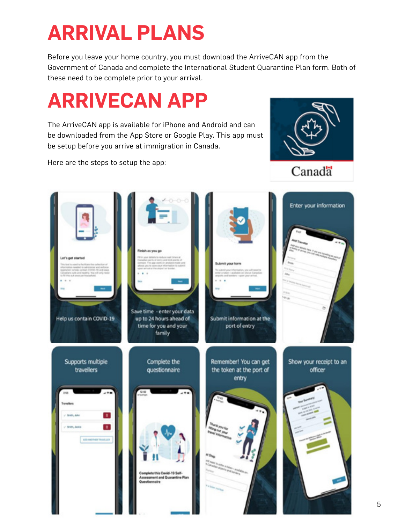# **ARRIVAL PLANS**

Before you leave your home country, you must download the ArriveCAN app from the Government of Canada and complete the International Student Quarantine Plan form. Both of these need to be complete prior to your arrival.

## **ARRIVECAN APP**

The ArriveCAN app is available for iPhone and Android and can be downloaded from the App Store or Google Play. This app must be setup before you arrive at immigration in Canada.

Here are the steps to setup the app:



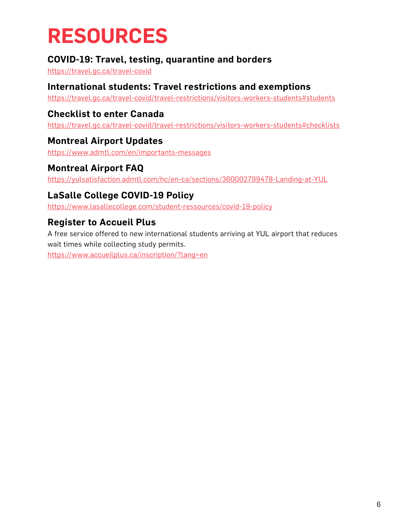## **RESOURCES**

### **COVID-19: Travel, testing, quarantine and borders**

<https://travel.gc.ca/travel-covid>

#### **International students: Travel restrictions and exemptions**

<https://travel.gc.ca/travel-covid/travel-restrictions/visitors-workers-students#students>

### **Checklist to enter Canada**

<https://travel.gc.ca/travel-covid/travel-restrictions/visitors-workers-students#checklists>

#### **Montreal Airport Updates**

<https://www.admtl.com/en/importants-messages>

#### **Montreal Airport FAQ**

<https://yulsatisfaction.admtl.com/hc/en-ca/sections/360002799478-Landing-at-YUL>

#### **LaSalle College COVID-19 Policy**

<https://www.lasallecollege.com/student-ressources/covid-19-policy>

### **Register to Accueil Plus**

A free service offered to new international students arriving at YUL airport that reduces wait times while collecting study permits.

<https://www.accueilplus.ca/inscription/?lang=en>